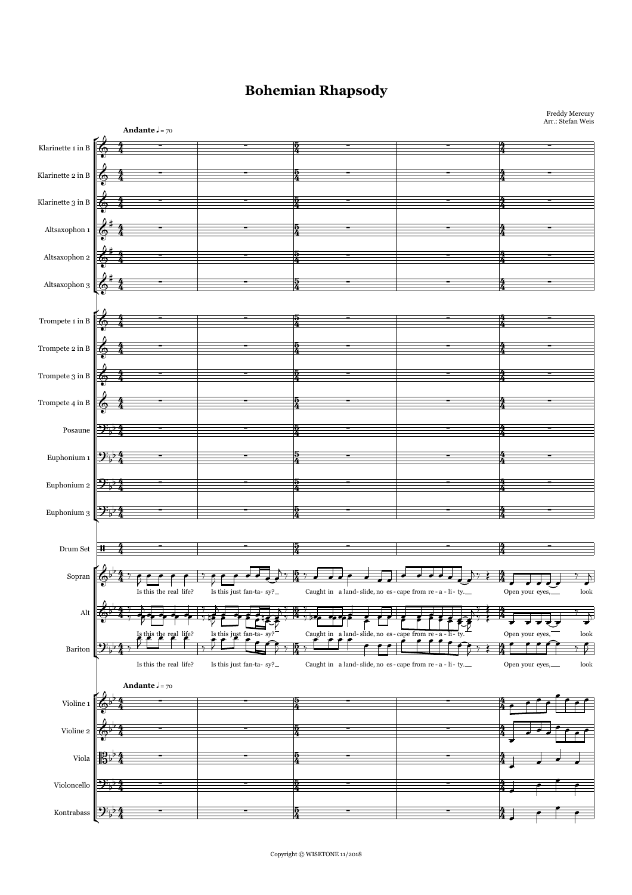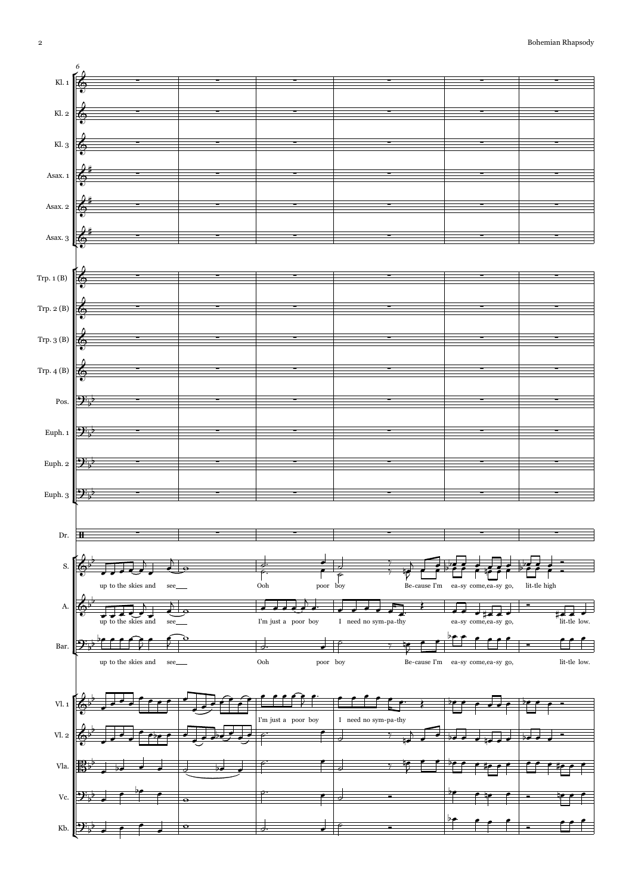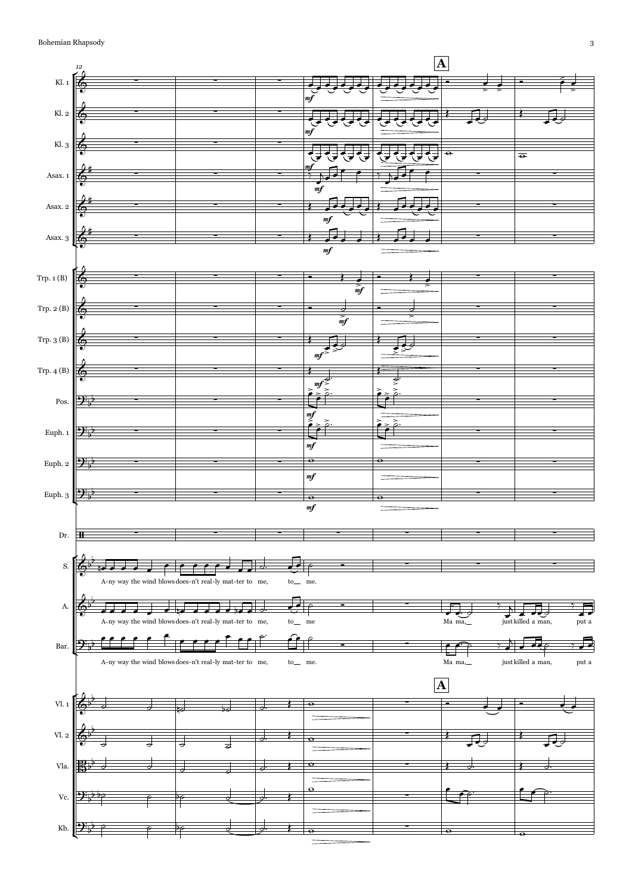

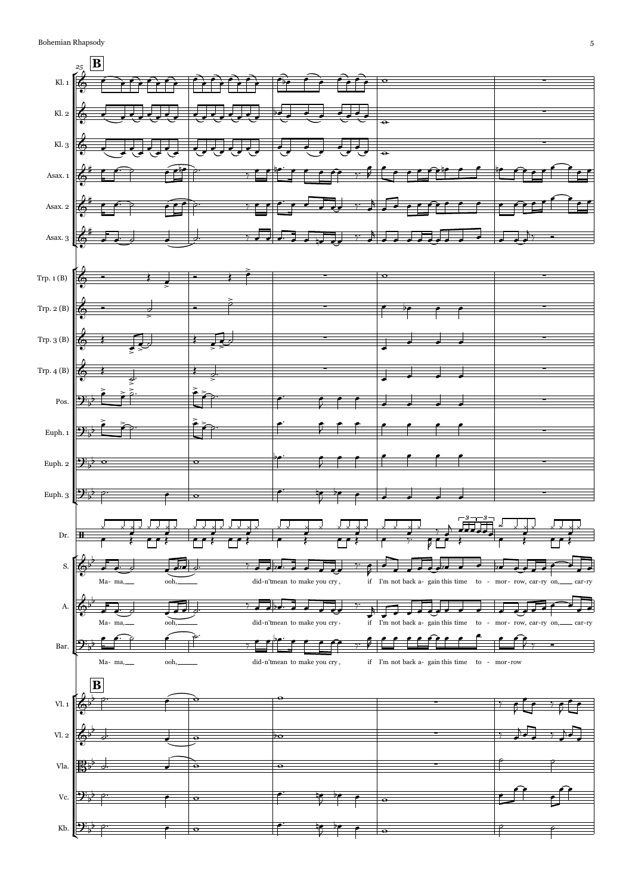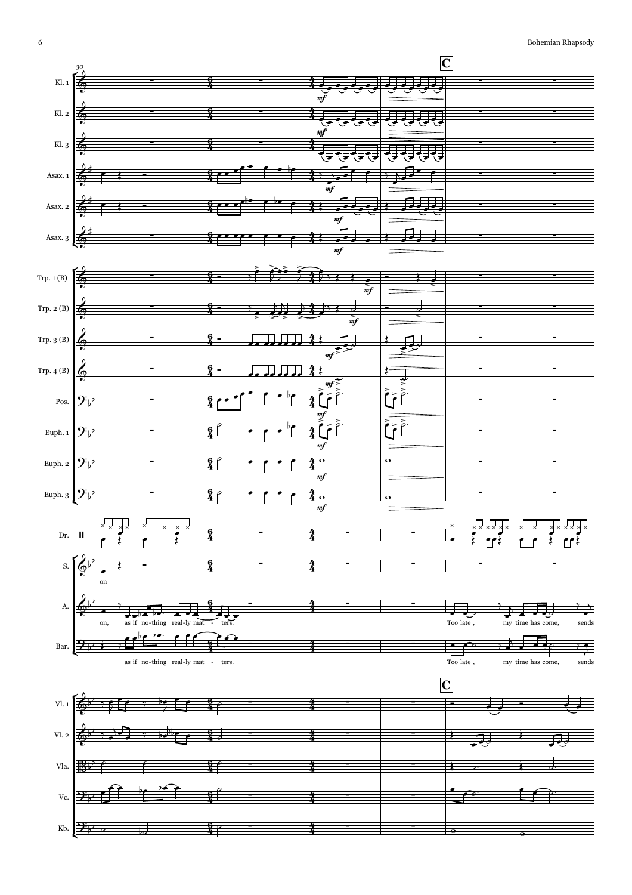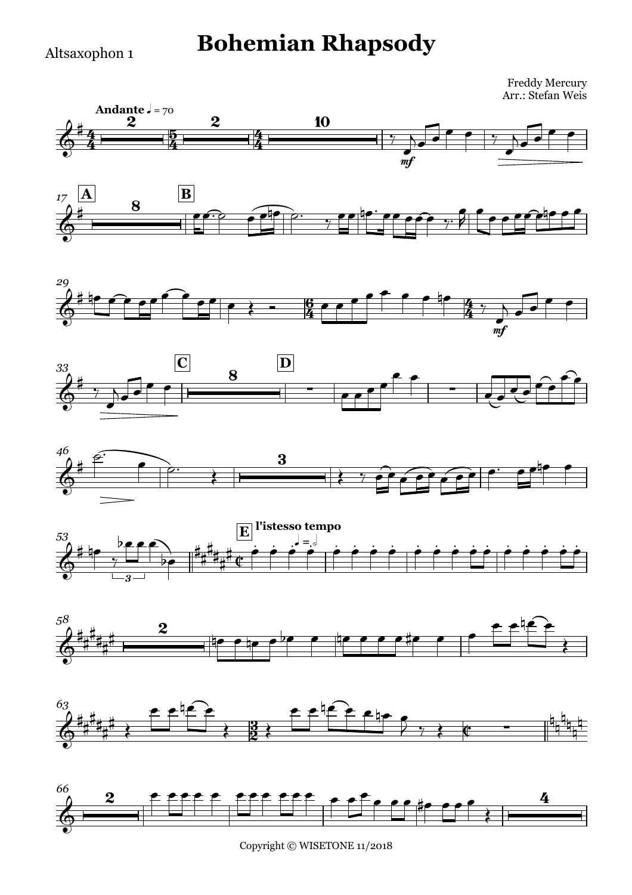#### Altsaxophon 1

## **Bohemian Rhapsody**

Freddy Mercury Arr.: Stefan Weis



















Copyright © WISETONE 11/2018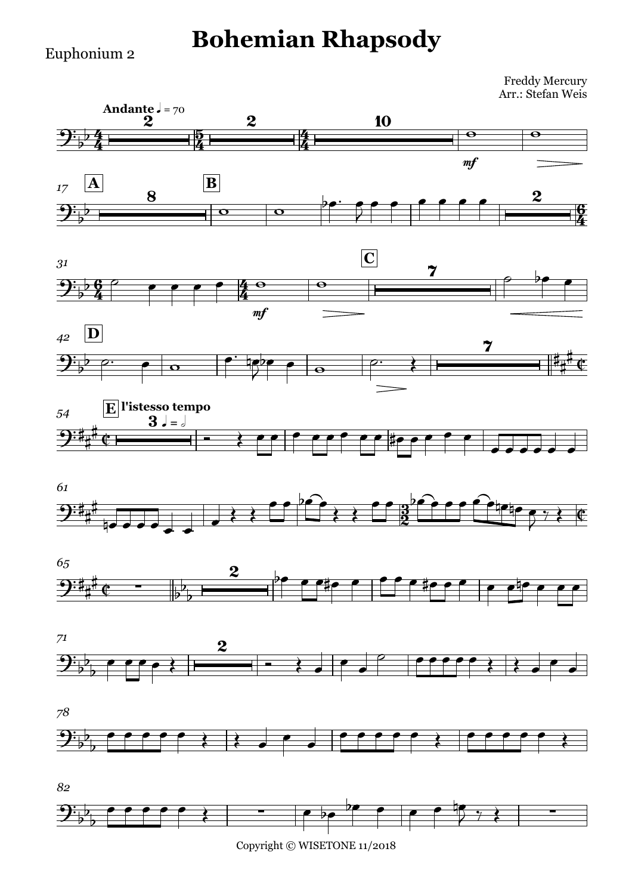# **Bohemian Rhapsody**

Euphonium 2

 $\mathbf{P}$ 

Freddy Mercury Arr.: Stefan Weis





b ∑ ∑

 $77$  $\overline{y}$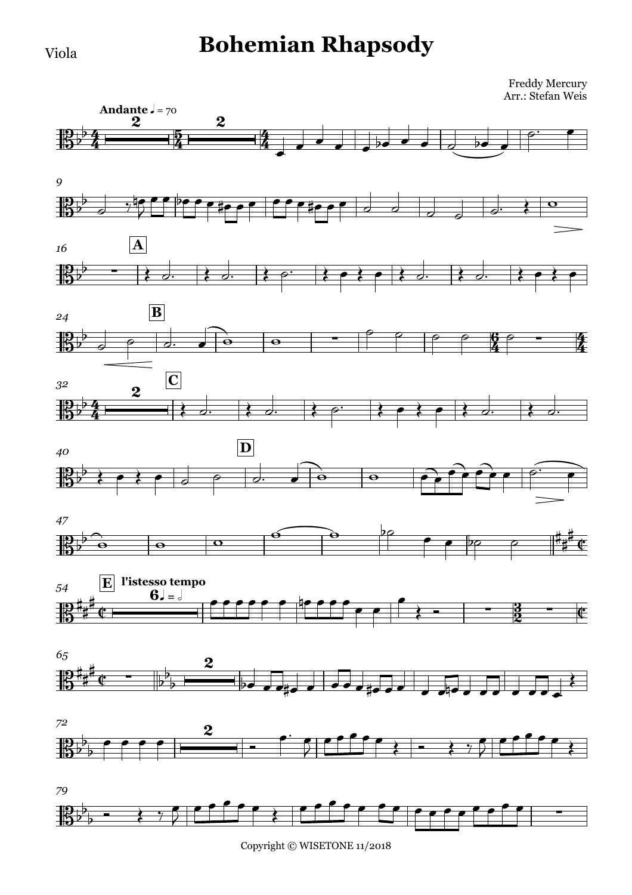### **Bohemian Rhapsody**

Freddy Mercury Arr.: Stefan Weis



Copyright © WISETONE 11/2018

Viola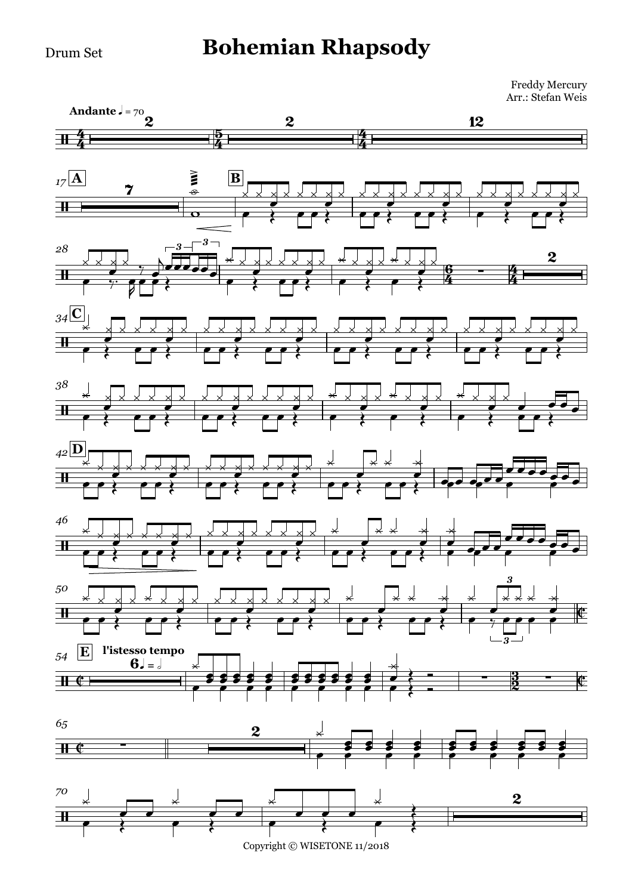Drum Set

### **Bohemian Rhapsody**

Freddy Mercury Arr.: Stefan Weis



Copyright © WISETONE 11/2018